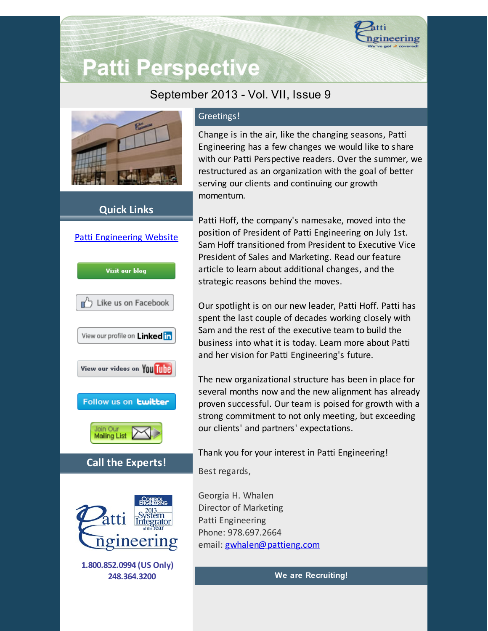

# **Patti Perspective**

## September 2013 - Vol. VII, Issue 9



### **Quick Links**



#### Greetings!

Change is in the air, like the changing seasons, Patti Engineering has a few changes we would like to share with our Patti Perspective readers. Over the summer, we restructured as an organization with the goal of better serving our clients and continuing our growth momentum.

Patti Hoff, the company's namesake, moved into the position of President of Patti Engineering on July 1st. Sam Hoff transitioned from President to Executive Vice President of Sales and Marketing. Read our feature article to learn about additional changes, and the strategic reasons behind the moves.

Our spotlight is on our new leader, Patti Hoff. Patti has spent the last couple of decades working closely with Sam and the rest of the executive team to build the business into what it is today. Learn more about Patti and her vision for Patti Engineering's future.

The new organizational structure has been in place for several months now and the new alignment has already proven successful. Our team is poised for growth with a strong commitment to not only meeting, but exceeding our clients' and partners' expectations.

Thank you for your interest in Patti Engineering!

Best regards,

Georgia H. Whalen Director of Marketing Patti Engineering Phone: 978.697.2664 email: [gwhalen@pattieng.com](mailto:gwhalen@pattieng.com)

**We are Recruiting!**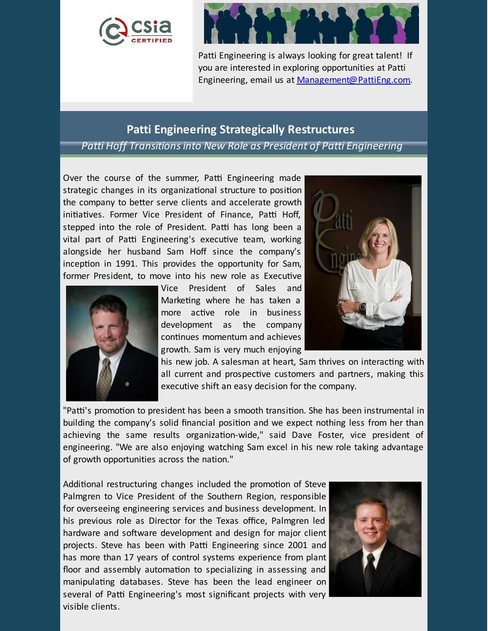



Patti Engineering is always looking for great talent! If you are interested in exploring opportunities at Patti Engineering, email us at [Management@PattiEng.com.](mailto:management@pattieng.com)

#### **Patti Engineering Strategically Restructures**

*Patti Hoff Transitionsinto New Role as President of Patti Engineering*

Over the course of the summer, Patti Engineering made strategic changes in its organizational structure to position the company to better serve clients and accelerate growth initiatives. Former Vice President of Finance, Patti Hoff, stepped into the role of President. Patti has long been a vital part of Patti Engineering's executive team, working alongside her husband Sam Hoff since the company's inception in 1991. This provides the opportunity for Sam, former President, to move into his new role as Executive



Vice President of Sales and Marketing where he has taken a more active role in business development as the company continues momentum and achieves growth. Sam is very much enjoying



his new job. A salesman at heart, Sam thrives on interacting with all current and prospective customers and partners, making this executive shift an easy decision for the company.

"Patti's promotion to president has been a smooth transition. She has been instrumental in building the company's solid financial position and we expect nothing less from her than achieving the same results organization-wide," said Dave Foster, vice president of engineering. "We are also enjoying watching Sam excel in his new role taking advantage of growth opportunities across the nation."

Additional restructuring changes included the promotion of Steve Palmgren to Vice President of the Southern Region, responsible for overseeing engineering services and business development. In his previous role as Director for the Texas office, Palmgren led hardware and software development and design for major client projects. Steve has been with Patti Engineering since 2001 and has more than 17 years of control systems experience from plant floor and assembly automation to specializing in assessing and manipulating databases. Steve has been the lead engineer on several of Patti Engineering's most significant projects with very visible clients.

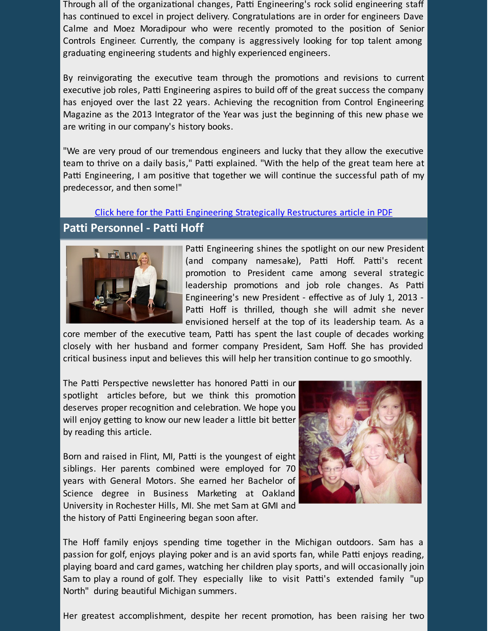Through all of the organizational changes, Patti Engineering's rock solid engineering staff has continued to excel in project delivery. Congratulations are in order for engineers Dave Calme and Moez Moradipour who were recently promoted to the position of Senior Controls Engineer. Currently, the company is aggressively looking for top talent among graduating engineering students and highly experienced engineers.

By reinvigorating the executive team through the promotions and revisions to current executive job roles, Patti Engineering aspires to build off of the great success the company has enjoyed over the last 22 years. Achieving the recognition from Control Engineering Magazine as the 2013 Integrator of the Year was just the beginning of this new phase we are writing in our company's history books.

"We are very proud of our tremendous engineers and lucky that they allow the executive team to thrive on a daily basis," Patti explained. "With the help of the great team here at Patti Engineering, I am positive that together we will continue the successful path of my predecessor, and then some!"

## Click here for the Patti Engineering Strategically [Restructures](https://origin.library.constantcontact.com/doc205/1101449641109/doc/f710XmdBqSSvXIOh.pdf) article in PDF **Patti Personnel - Patti Hoff**



Patti Engineering shines the spotlight on our new President (and company namesake), Patti Hoff. Patti's recent promotion to President came among several strategic leadership promotions and job role changes. As Patti Engineering's new President - effective as of July 1, 2013 -Patti Hoff is thrilled, though she will admit she never envisioned herself at the top of its leadership team. As a

core member of the executive team, Patti has spent the last couple of decades working closely with her husband and former company President, Sam Hoff. She has provided critical business input and believes this will help her transition continue to go smoothly.

The Patti Perspective newsletter has honored Patti in our spotlight articles before, but we think this promotion deserves proper recognition and celebration. We hope you will enjoy getting to know our new leader a little bit better by reading this article.

Born and raised in Flint, MI, Patti is the youngest of eight siblings. Her parents combined were employed for 70 years with General Motors. She earned her Bachelor of Science degree in Business Marketing at Oakland University in Rochester Hills, MI. She met Sam at GMI and the history of Patti Engineering began soon after.



The Hoff family enjoys spending time together in the Michigan outdoors. Sam has a passion for golf, enjoys playing poker and is an avid sports fan, while Patti enjoys reading, playing board and card games, watching her children play sports, and will occasionally join Sam to play a round of golf. They especially like to visit Patti's extended family "up North" during beautiful Michigan summers.

Her greatest accomplishment, despite her recent promotion, has been raising her two